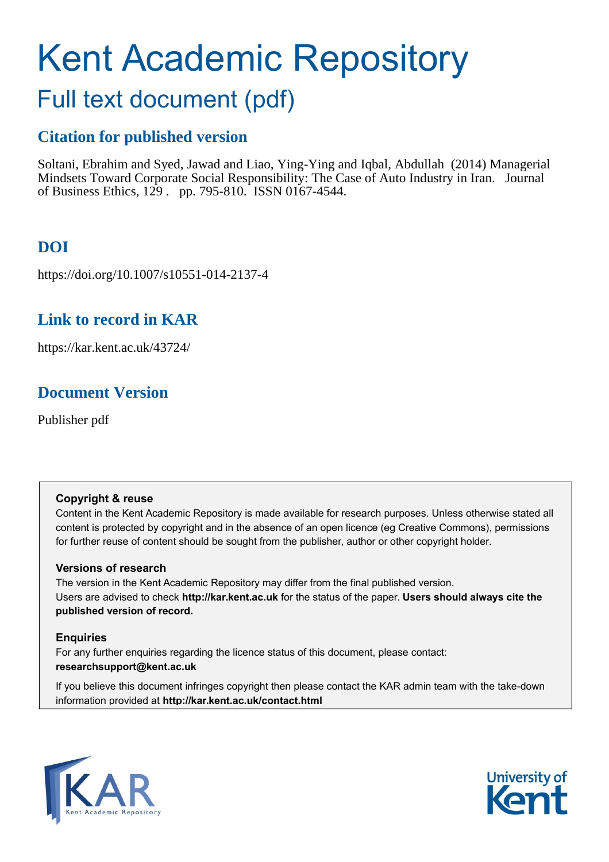# Kent Academic Repository

## Full text document (pdf)

## **Citation for published version**

Soltani, Ebrahim and Syed, Jawad and Liao, Ying-Ying and Iqbal, Abdullah (2014) Managerial Mindsets Toward Corporate Social Responsibility: The Case of Auto Industry in Iran. Journal of Business Ethics, 129 . pp. 795-810. ISSN 0167-4544.

## **DOI**

https://doi.org/10.1007/s10551-014-2137-4

## **Link to record in KAR**

https://kar.kent.ac.uk/43724/

## **Document Version**

Publisher pdf

#### **Copyright & reuse**

Content in the Kent Academic Repository is made available for research purposes. Unless otherwise stated all content is protected by copyright and in the absence of an open licence (eg Creative Commons), permissions for further reuse of content should be sought from the publisher, author or other copyright holder.

#### **Versions of research**

The version in the Kent Academic Repository may differ from the final published version. Users are advised to check **http://kar.kent.ac.uk** for the status of the paper. **Users should always cite the published version of record.**

#### **Enquiries**

For any further enquiries regarding the licence status of this document, please contact: **researchsupport@kent.ac.uk**

If you believe this document infringes copyright then please contact the KAR admin team with the take-down information provided at **http://kar.kent.ac.uk/contact.html**



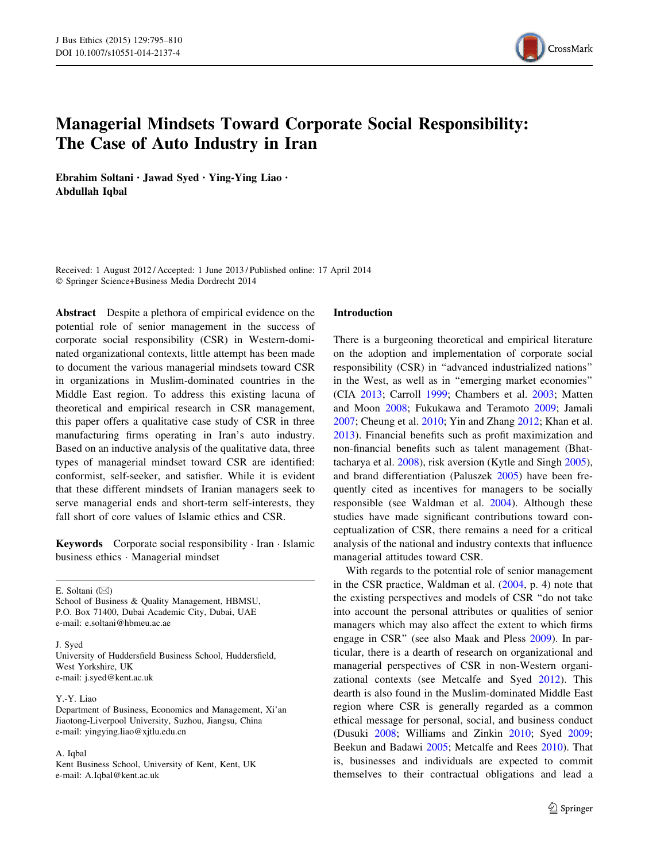

### Managerial Mindsets Toward Corporate Social Responsibility: The Case of Auto Industry in Iran

Ebrahim Soltani • Jawad Syed • Ying-Ying Liao • Abdullah Iqbal

Received: 1 August 2012 / Accepted: 1 June 2013 / Published online: 17 April 2014 - Springer Science+Business Media Dordrecht 2014

Abstract Despite a plethora of empirical evidence on the potential role of senior management in the success of corporate social responsibility (CSR) in Western-dominated organizational contexts, little attempt has been made to document the various managerial mindsets toward CSR in organizations in Muslim-dominated countries in the Middle East region. To address this existing lacuna of theoretical and empirical research in CSR management, this paper offers a qualitative case study of CSR in three manufacturing firms operating in Iran's auto industry. Based on an inductive analysis of the qualitative data, three types of managerial mindset toward CSR are identified: conformist, self-seeker, and satisfier. While it is evident that these different mindsets of Iranian managers seek to serve managerial ends and short-term self-interests, they fall short of core values of Islamic ethics and CSR.

Keywords Corporate social responsibility · Iran · Islamic business ethics - Managerial mindset

E. Soltani  $(\boxtimes)$ School of Business & Quality Management, HBMSU, P.O. Box 71400, Dubai Academic City, Dubai, UAE e-mail: e.soltani@hbmeu.ac.ae

J. Syed

University of Huddersfield Business School, Huddersfield, West Yorkshire, UK e-mail: j.syed@kent.ac.uk

#### Y.-Y. Liao

Department of Business, Economics and Management, Xi'an Jiaotong-Liverpool University, Suzhou, Jiangsu, China e-mail: yingying.liao@xjtlu.edu.cn

#### A. Iqbal

Kent Business School, University of Kent, Kent, UK e-mail: A.Iqbal@kent.ac.uk

#### Introduction

There is a burgeoning theoretical and empirical literature on the adoption and implementation of corporate social responsibility (CSR) in ''advanced industrialized nations'' in the West, as well as in ''emerging market economies'' (CIA 2013; Carroll 1999; Chambers et al. 2003; Matten and Moon 2008; Fukukawa and Teramoto 2009; Jamali 2007; Cheung et al. 2010; Yin and Zhang 2012; Khan et al. 2013). Financial benefits such as profit maximization and non-financial benefits such as talent management (Bhattacharya et al. 2008), risk aversion (Kytle and Singh 2005), and brand differentiation (Paluszek 2005) have been frequently cited as incentives for managers to be socially responsible (see Waldman et al. 2004). Although these studies have made significant contributions toward conceptualization of CSR, there remains a need for a critical analysis of the national and industry contexts that influence managerial attitudes toward CSR.

With regards to the potential role of senior management in the CSR practice, Waldman et al. (2004, p. 4) note that the existing perspectives and models of CSR ''do not take into account the personal attributes or qualities of senior managers which may also affect the extent to which firms engage in CSR'' (see also Maak and Pless 2009). In particular, there is a dearth of research on organizational and managerial perspectives of CSR in non-Western organizational contexts (see Metcalfe and Syed 2012). This dearth is also found in the Muslim-dominated Middle East region where CSR is generally regarded as a common ethical message for personal, social, and business conduct (Dusuki 2008; Williams and Zinkin 2010; Syed 2009; Beekun and Badawi 2005; Metcalfe and Rees 2010). That is, businesses and individuals are expected to commit themselves to their contractual obligations and lead a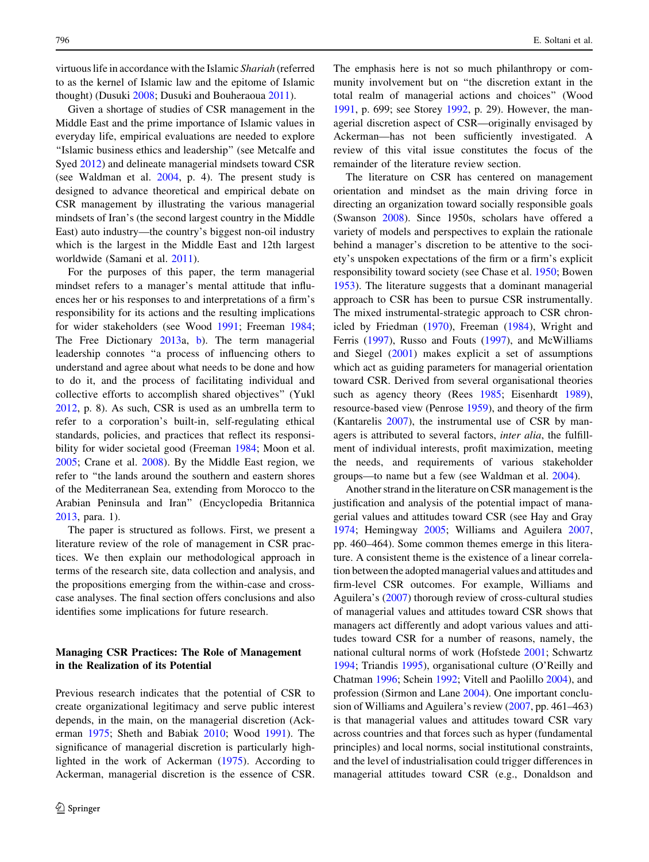virtuous life in accordance with the Islamic Shariah (referred to as the kernel of Islamic law and the epitome of Islamic thought) (Dusuki 2008; Dusuki and Bouheraoua 2011).

Given a shortage of studies of CSR management in the Middle East and the prime importance of Islamic values in everyday life, empirical evaluations are needed to explore ''Islamic business ethics and leadership'' (see Metcalfe and Syed 2012) and delineate managerial mindsets toward CSR (see Waldman et al. 2004, p. 4). The present study is designed to advance theoretical and empirical debate on CSR management by illustrating the various managerial mindsets of Iran's (the second largest country in the Middle East) auto industry—the country's biggest non-oil industry which is the largest in the Middle East and 12th largest worldwide (Samani et al. 2011).

For the purposes of this paper, the term managerial mindset refers to a manager's mental attitude that influences her or his responses to and interpretations of a firm's responsibility for its actions and the resulting implications for wider stakeholders (see Wood 1991; Freeman 1984; The Free Dictionary 2013a, b). The term managerial leadership connotes ''a process of influencing others to understand and agree about what needs to be done and how to do it, and the process of facilitating individual and collective efforts to accomplish shared objectives'' (Yukl 2012, p. 8). As such, CSR is used as an umbrella term to refer to a corporation's built-in, self-regulating ethical standards, policies, and practices that reflect its responsibility for wider societal good (Freeman 1984; Moon et al. 2005; Crane et al. 2008). By the Middle East region, we refer to ''the lands around the southern and eastern shores of the Mediterranean Sea, extending from Morocco to the Arabian Peninsula and Iran'' (Encyclopedia Britannica 2013, para. 1).

The paper is structured as follows. First, we present a literature review of the role of management in CSR practices. We then explain our methodological approach in terms of the research site, data collection and analysis, and the propositions emerging from the within-case and crosscase analyses. The final section offers conclusions and also identifies some implications for future research.

#### Managing CSR Practices: The Role of Management in the Realization of its Potential

Previous research indicates that the potential of CSR to create organizational legitimacy and serve public interest depends, in the main, on the managerial discretion (Ackerman 1975; Sheth and Babiak 2010; Wood 1991). The significance of managerial discretion is particularly highlighted in the work of Ackerman (1975). According to Ackerman, managerial discretion is the essence of CSR.

The emphasis here is not so much philanthropy or community involvement but on ''the discretion extant in the total realm of managerial actions and choices'' (Wood 1991, p. 699; see Storey 1992, p. 29). However, the managerial discretion aspect of CSR—originally envisaged by Ackerman—has not been sufficiently investigated. A review of this vital issue constitutes the focus of the remainder of the literature review section.

The literature on CSR has centered on management orientation and mindset as the main driving force in directing an organization toward socially responsible goals (Swanson 2008). Since 1950s, scholars have offered a variety of models and perspectives to explain the rationale behind a manager's discretion to be attentive to the society's unspoken expectations of the firm or a firm's explicit responsibility toward society (see Chase et al. 1950; Bowen 1953). The literature suggests that a dominant managerial approach to CSR has been to pursue CSR instrumentally. The mixed instrumental-strategic approach to CSR chronicled by Friedman (1970), Freeman (1984), Wright and Ferris (1997), Russo and Fouts (1997), and McWilliams and Siegel (2001) makes explicit a set of assumptions which act as guiding parameters for managerial orientation toward CSR. Derived from several organisational theories such as agency theory (Rees 1985; Eisenhardt 1989), resource-based view (Penrose 1959), and theory of the firm (Kantarelis 2007), the instrumental use of CSR by managers is attributed to several factors, inter alia, the fulfillment of individual interests, profit maximization, meeting the needs, and requirements of various stakeholder groups—to name but a few (see Waldman et al. 2004).

Another strand in the literature on CSR management is the justification and analysis of the potential impact of managerial values and attitudes toward CSR (see Hay and Gray 1974; Hemingway 2005; Williams and Aguilera 2007, pp. 460–464). Some common themes emerge in this literature. A consistent theme is the existence of a linear correlation between the adopted managerial values and attitudes and firm-level CSR outcomes. For example, Williams and Aguilera's (2007) thorough review of cross-cultural studies of managerial values and attitudes toward CSR shows that managers act differently and adopt various values and attitudes toward CSR for a number of reasons, namely, the national cultural norms of work (Hofstede 2001; Schwartz 1994; Triandis 1995), organisational culture (O'Reilly and Chatman 1996; Schein 1992; Vitell and Paolillo 2004), and profession (Sirmon and Lane 2004). One important conclusion of Williams and Aguilera's review (2007, pp. 461–463) is that managerial values and attitudes toward CSR vary across countries and that forces such as hyper (fundamental principles) and local norms, social institutional constraints, and the level of industrialisation could trigger differences in managerial attitudes toward CSR (e.g., Donaldson and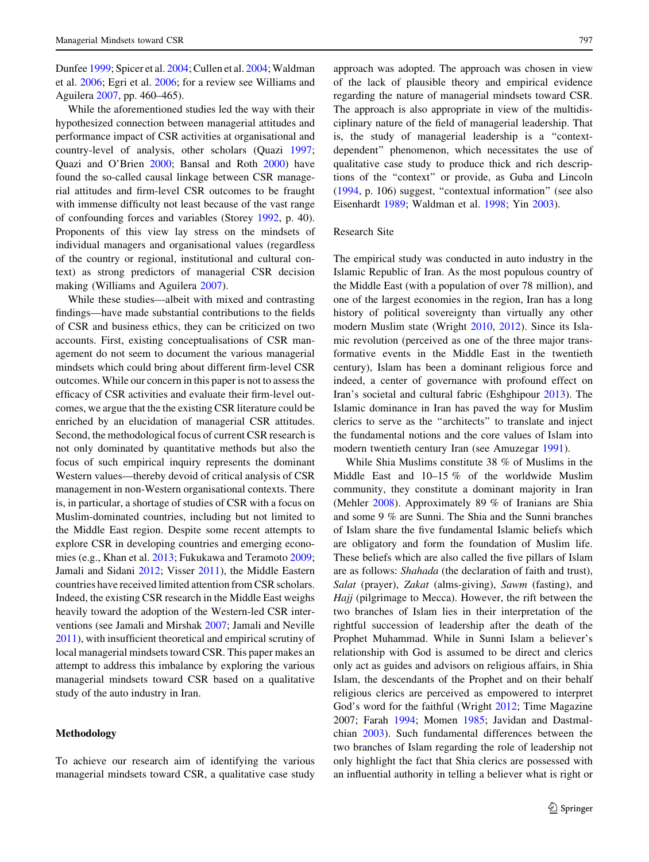Dunfee 1999; Spicer et al. 2004; Cullen et al. 2004; Waldman et al. 2006; Egri et al. 2006; for a review see Williams and Aguilera 2007, pp. 460–465).

While the aforementioned studies led the way with their hypothesized connection between managerial attitudes and performance impact of CSR activities at organisational and country-level of analysis, other scholars (Quazi 1997; Quazi and O'Brien 2000; Bansal and Roth 2000) have found the so-called causal linkage between CSR managerial attitudes and firm-level CSR outcomes to be fraught with immense difficulty not least because of the vast range of confounding forces and variables (Storey 1992, p. 40). Proponents of this view lay stress on the mindsets of individual managers and organisational values (regardless of the country or regional, institutional and cultural context) as strong predictors of managerial CSR decision making (Williams and Aguilera 2007).

While these studies—albeit with mixed and contrasting findings—have made substantial contributions to the fields of CSR and business ethics, they can be criticized on two accounts. First, existing conceptualisations of CSR management do not seem to document the various managerial mindsets which could bring about different firm-level CSR outcomes. While our concern in this paper is not to assess the efficacy of CSR activities and evaluate their firm-level outcomes, we argue that the the existing CSR literature could be enriched by an elucidation of managerial CSR attitudes. Second, the methodological focus of current CSR research is not only dominated by quantitative methods but also the focus of such empirical inquiry represents the dominant Western values—thereby devoid of critical analysis of CSR management in non-Western organisational contexts. There is, in particular, a shortage of studies of CSR with a focus on Muslim-dominated countries, including but not limited to the Middle East region. Despite some recent attempts to explore CSR in developing countries and emerging economies (e.g., Khan et al. 2013; Fukukawa and Teramoto 2009; Jamali and Sidani 2012; Visser 2011), the Middle Eastern countries have received limited attention from CSR scholars. Indeed, the existing CSR research in the Middle East weighs heavily toward the adoption of the Western-led CSR interventions (see Jamali and Mirshak 2007; Jamali and Neville 2011), with insufficient theoretical and empirical scrutiny of local managerial mindsets toward CSR. This paper makes an attempt to address this imbalance by exploring the various managerial mindsets toward CSR based on a qualitative study of the auto industry in Iran.

#### Methodology

To achieve our research aim of identifying the various managerial mindsets toward CSR, a qualitative case study

approach was adopted. The approach was chosen in view of the lack of plausible theory and empirical evidence regarding the nature of managerial mindsets toward CSR. The approach is also appropriate in view of the multidisciplinary nature of the field of managerial leadership. That is, the study of managerial leadership is a ''contextdependent'' phenomenon, which necessitates the use of qualitative case study to produce thick and rich descriptions of the ''context'' or provide, as Guba and Lincoln (1994, p. 106) suggest, ''contextual information'' (see also Eisenhardt 1989; Waldman et al. 1998; Yin 2003).

#### Research Site

The empirical study was conducted in auto industry in the Islamic Republic of Iran. As the most populous country of the Middle East (with a population of over 78 million), and one of the largest economies in the region, Iran has a long history of political sovereignty than virtually any other modern Muslim state (Wright 2010, 2012). Since its Islamic revolution (perceived as one of the three major transformative events in the Middle East in the twentieth century), Islam has been a dominant religious force and indeed, a center of governance with profound effect on Iran's societal and cultural fabric (Eshghipour 2013). The Islamic dominance in Iran has paved the way for Muslim clerics to serve as the ''architects'' to translate and inject the fundamental notions and the core values of Islam into modern twentieth century Iran (see Amuzegar 1991).

While Shia Muslims constitute 38 % of Muslims in the Middle East and 10–15 % of the worldwide Muslim community, they constitute a dominant majority in Iran (Mehler 2008). Approximately 89 % of Iranians are Shia and some 9 % are Sunni. The Shia and the Sunni branches of Islam share the five fundamental Islamic beliefs which are obligatory and form the foundation of Muslim life. These beliefs which are also called the five pillars of Islam are as follows: Shahada (the declaration of faith and trust), Salat (prayer), Zakat (alms-giving), Sawm (fasting), and Hajj (pilgrimage to Mecca). However, the rift between the two branches of Islam lies in their interpretation of the rightful succession of leadership after the death of the Prophet Muhammad. While in Sunni Islam a believer's relationship with God is assumed to be direct and clerics only act as guides and advisors on religious affairs, in Shia Islam, the descendants of the Prophet and on their behalf religious clerics are perceived as empowered to interpret God's word for the faithful (Wright 2012; Time Magazine 2007; Farah 1994; Momen 1985; Javidan and Dastmalchian 2003). Such fundamental differences between the two branches of Islam regarding the role of leadership not only highlight the fact that Shia clerics are possessed with an influential authority in telling a believer what is right or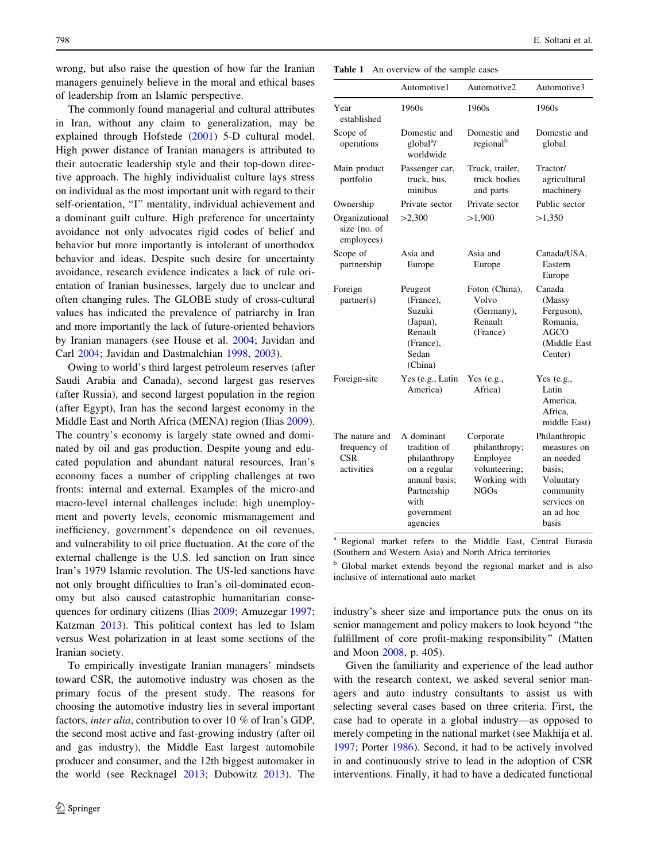wrong, but also raise the question of how far the Iranian managers genuinely believe in the moral and ethical bases of leadership from an Islamic perspective.

The commonly found managerial and cultural attributes in Iran, without any claim to generalization, may be explained through Hofstede (2001) 5-D cultural model. High power distance of Iranian managers is attributed to their autocratic leadership style and their top-down directive approach. The highly individualist culture lays stress on individual as the most important unit with regard to their self-orientation, "I" mentality, individual achievement and a dominant guilt culture. High preference for uncertainty avoidance not only advocates rigid codes of belief and behavior but more importantly is intolerant of unorthodox behavior and ideas. Despite such desire for uncertainty avoidance, research evidence indicates a lack of rule orientation of Iranian businesses, largely due to unclear and often changing rules. The GLOBE study of cross-cultural values has indicated the prevalence of patriarchy in Iran and more importantly the lack of future-oriented behaviors by Iranian managers (see House et al. 2004; Javidan and Carl 2004; Javidan and Dastmalchian 1998, 2003).

Owing to world's third largest petroleum reserves (after Saudi Arabia and Canada), second largest gas reserves (after Russia), and second largest population in the region (after Egypt), Iran has the second largest economy in the Middle East and North Africa (MENA) region (Ilias 2009). The country's economy is largely state owned and dominated by oil and gas production. Despite young and educated population and abundant natural resources, Iran's economy faces a number of crippling challenges at two fronts: internal and external. Examples of the micro-and macro-level internal challenges include: high unemployment and poverty levels, economic mismanagement and inefficiency, government's dependence on oil revenues, and vulnerability to oil price fluctuation. At the core of the external challenge is the U.S. led sanction on Iran since Iran's 1979 Islamic revolution. The US-led sanctions have not only brought difficulties to Iran's oil-dominated economy but also caused catastrophic humanitarian consequences for ordinary citizens (Ilias 2009; Amuzegar 1997; Katzman 2013). This political context has led to Islam versus West polarization in at least some sections of the Iranian society.

To empirically investigate Iranian managers' mindsets toward CSR, the automotive industry was chosen as the primary focus of the present study. The reasons for choosing the automotive industry lies in several important factors, inter alia, contribution to over 10 % of Iran's GDP, the second most active and fast-growing industry (after oil and gas industry), the Middle East largest automobile producer and consumer, and the 12th biggest automaker in the world (see Recknagel 2013; Dubowitz 2013). The

Table 1 An overview of the sample cases

|                                                            | Automotive1                                                                                                                  | Automotive2                                                                            | Automotive3                                                                                                        |  |
|------------------------------------------------------------|------------------------------------------------------------------------------------------------------------------------------|----------------------------------------------------------------------------------------|--------------------------------------------------------------------------------------------------------------------|--|
| Year<br>established                                        | 1960s                                                                                                                        | 1960s                                                                                  | 1960s                                                                                                              |  |
| Scope of<br>operations                                     | Domestic and<br>global <sup>a</sup> /<br>worldwide                                                                           | Domestic and<br>regional <sup>b</sup>                                                  | Domestic and<br>global                                                                                             |  |
| Main product<br>portfolio                                  | Passenger car,<br>truck, bus,<br>minibus                                                                                     | Truck, trailer,<br>truck bodies<br>and parts                                           | Tractor/<br>agricultural<br>machinery                                                                              |  |
| Ownership                                                  | Private sector                                                                                                               | Private sector                                                                         | Public sector                                                                                                      |  |
| Organizational<br>size (no. of<br>employees)               | >2,300                                                                                                                       | >1,900                                                                                 | >1,350                                                                                                             |  |
| Scope of<br>partnership                                    | Asia and<br>Europe                                                                                                           | Asia and<br>Europe                                                                     | Canada/USA.<br>Eastern<br>Europe                                                                                   |  |
| Foreign<br>partner(s)                                      | Peugeot<br>(France),<br>Suzuki<br>(Japan),<br>Renault<br>(France),<br>Sedan<br>(China)                                       | Foton (China),<br>Volvo<br>(Germany),<br>Renault<br>(France)                           | Canada<br>(Massy<br>Ferguson),<br>Romania,<br>AGCO<br>(Middle East<br>Center)                                      |  |
| Foreign-site                                               | Yes (e.g., Latin<br>America)                                                                                                 | Yes $(e.g.,$<br>Africa)                                                                | Yes $(e.g.,$<br>Latin<br>America,<br>Africa,<br>middle East)                                                       |  |
| The nature and<br>frequency of<br><b>CSR</b><br>activities | A dominant<br>tradition of<br>philanthropy<br>on a regular<br>annual basis;<br>Partnership<br>with<br>government<br>agencies | Corporate<br>philanthropy;<br>Employee<br>volunteering;<br>Working with<br><b>NGOs</b> | Philanthropic<br>measures on<br>an needed<br>basis;<br>Voluntary<br>community<br>services on<br>an ad hoc<br>basis |  |

Regional market refers to the Middle East, Central Eurasia (Southern and Western Asia) and North Africa territories

<sup>b</sup> Global market extends beyond the regional market and is also inclusive of international auto market

industry's sheer size and importance puts the onus on its senior management and policy makers to look beyond ''the fulfillment of core profit-making responsibility'' (Matten and Moon 2008, p. 405).

Given the familiarity and experience of the lead author with the research context, we asked several senior managers and auto industry consultants to assist us with selecting several cases based on three criteria. First, the case had to operate in a global industry—as opposed to merely competing in the national market (see Makhija et al. 1997; Porter 1986). Second, it had to be actively involved in and continuously strive to lead in the adoption of CSR interventions. Finally, it had to have a dedicated functional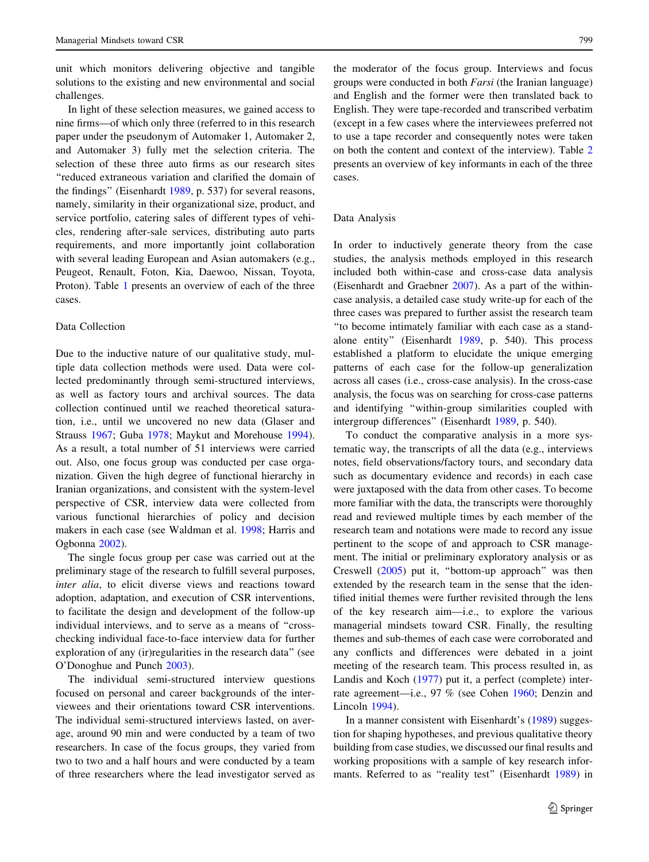unit which monitors delivering objective and tangible solutions to the existing and new environmental and social challenges.

In light of these selection measures, we gained access to nine firms—of which only three (referred to in this research paper under the pseudonym of Automaker 1, Automaker 2, and Automaker 3) fully met the selection criteria. The selection of these three auto firms as our research sites ''reduced extraneous variation and clarified the domain of the findings'' (Eisenhardt 1989, p. 537) for several reasons, namely, similarity in their organizational size, product, and service portfolio, catering sales of different types of vehicles, rendering after-sale services, distributing auto parts requirements, and more importantly joint collaboration with several leading European and Asian automakers (e.g., Peugeot, Renault, Foton, Kia, Daewoo, Nissan, Toyota, Proton). Table 1 presents an overview of each of the three cases.

#### Data Collection

Due to the inductive nature of our qualitative study, multiple data collection methods were used. Data were collected predominantly through semi-structured interviews, as well as factory tours and archival sources. The data collection continued until we reached theoretical saturation, i.e., until we uncovered no new data (Glaser and Strauss 1967; Guba 1978; Maykut and Morehouse 1994). As a result, a total number of 51 interviews were carried out. Also, one focus group was conducted per case organization. Given the high degree of functional hierarchy in Iranian organizations, and consistent with the system-level perspective of CSR, interview data were collected from various functional hierarchies of policy and decision makers in each case (see Waldman et al. 1998; Harris and Ogbonna 2002).

The single focus group per case was carried out at the preliminary stage of the research to fulfill several purposes, inter alia, to elicit diverse views and reactions toward adoption, adaptation, and execution of CSR interventions, to facilitate the design and development of the follow-up individual interviews, and to serve as a means of ''crosschecking individual face-to-face interview data for further exploration of any (ir)regularities in the research data'' (see O'Donoghue and Punch 2003).

The individual semi-structured interview questions focused on personal and career backgrounds of the interviewees and their orientations toward CSR interventions. The individual semi-structured interviews lasted, on average, around 90 min and were conducted by a team of two researchers. In case of the focus groups, they varied from two to two and a half hours and were conducted by a team of three researchers where the lead investigator served as the moderator of the focus group. Interviews and focus groups were conducted in both Farsi (the Iranian language) and English and the former were then translated back to English. They were tape-recorded and transcribed verbatim (except in a few cases where the interviewees preferred not to use a tape recorder and consequently notes were taken on both the content and context of the interview). Table 2 presents an overview of key informants in each of the three cases.

#### Data Analysis

In order to inductively generate theory from the case studies, the analysis methods employed in this research included both within-case and cross-case data analysis (Eisenhardt and Graebner 2007). As a part of the withincase analysis, a detailed case study write-up for each of the three cases was prepared to further assist the research team ''to become intimately familiar with each case as a standalone entity'' (Eisenhardt 1989, p. 540). This process established a platform to elucidate the unique emerging patterns of each case for the follow-up generalization across all cases (i.e., cross-case analysis). In the cross-case analysis, the focus was on searching for cross-case patterns and identifying ''within-group similarities coupled with intergroup differences'' (Eisenhardt 1989, p. 540).

To conduct the comparative analysis in a more systematic way, the transcripts of all the data (e.g., interviews notes, field observations/factory tours, and secondary data such as documentary evidence and records) in each case were juxtaposed with the data from other cases. To become more familiar with the data, the transcripts were thoroughly read and reviewed multiple times by each member of the research team and notations were made to record any issue pertinent to the scope of and approach to CSR management. The initial or preliminary exploratory analysis or as Creswell (2005) put it, ''bottom-up approach'' was then extended by the research team in the sense that the identified initial themes were further revisited through the lens of the key research aim—i.e., to explore the various managerial mindsets toward CSR. Finally, the resulting themes and sub-themes of each case were corroborated and any conflicts and differences were debated in a joint meeting of the research team. This process resulted in, as Landis and Koch (1977) put it, a perfect (complete) interrate agreement—i.e., 97 % (see Cohen 1960; Denzin and Lincoln 1994).

In a manner consistent with Eisenhardt's (1989) suggestion for shaping hypotheses, and previous qualitative theory building from case studies, we discussed our final results and working propositions with a sample of key research informants. Referred to as "reality test" (Eisenhardt 1989) in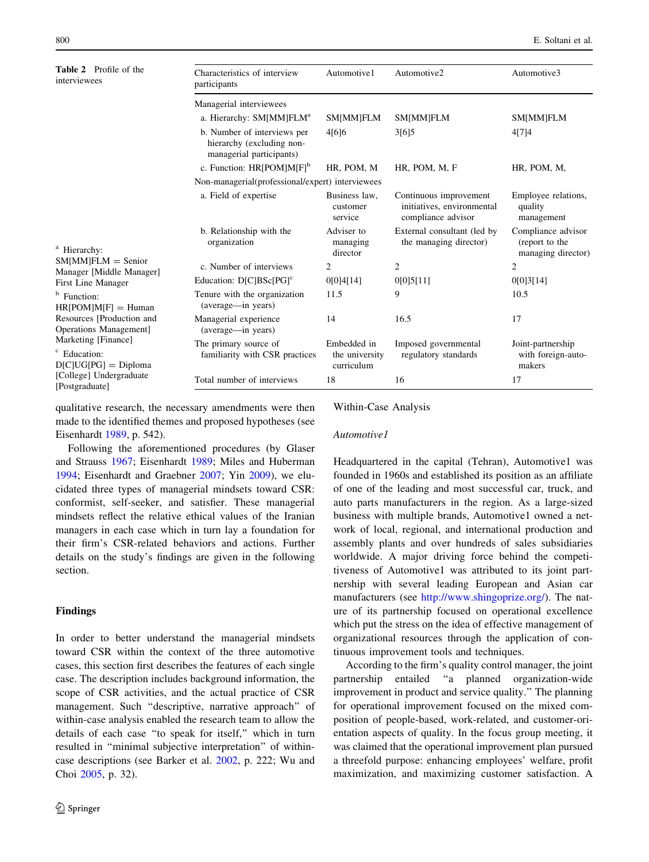800 E. Soltani et al.

| <b>Table 2</b> Profile of the<br>interviewees<br><sup>a</sup> Hierarchy:                                                                                                           | Characteristics of interview<br>participants                                         | Automotive1                                 | Automotive2                                                                | Automotive3                                                |  |  |  |
|------------------------------------------------------------------------------------------------------------------------------------------------------------------------------------|--------------------------------------------------------------------------------------|---------------------------------------------|----------------------------------------------------------------------------|------------------------------------------------------------|--|--|--|
|                                                                                                                                                                                    | Managerial interviewees                                                              |                                             |                                                                            |                                                            |  |  |  |
|                                                                                                                                                                                    | a. Hierarchy: SM[MM]FLM <sup>a</sup>                                                 | <b>SM[MM]FLM</b>                            | <b>SM[MM]FLM</b>                                                           | <b>SM[MM]FLM</b>                                           |  |  |  |
|                                                                                                                                                                                    | b. Number of interviews per<br>hierarchy (excluding non-<br>managerial participants) | 4[6]6                                       | 3[6]5                                                                      | 4[7]4                                                      |  |  |  |
|                                                                                                                                                                                    | c. Function: $HR[POM]M[F]$ <sup>b</sup>                                              | HR, POM, M                                  | HR, POM, M, F                                                              | HR, POM, M,                                                |  |  |  |
|                                                                                                                                                                                    | Non-managerial(professional/expert) interviewees                                     |                                             |                                                                            |                                                            |  |  |  |
|                                                                                                                                                                                    | a. Field of expertise                                                                | Business law,<br>customer<br>service        | Continuous improvement<br>initiatives, environmental<br>compliance advisor | Employee relations,<br>quality<br>management               |  |  |  |
|                                                                                                                                                                                    | b. Relationship with the<br>organization                                             | Adviser to<br>managing<br>director          | External consultant (led by<br>the managing director)                      | Compliance advisor<br>(report to the<br>managing director) |  |  |  |
| $SM[MM]FLM = Senior$<br>Manager [Middle Manager]                                                                                                                                   | c. Number of interviews                                                              | 2                                           | $\overline{2}$                                                             | $\mathfrak{2}$                                             |  |  |  |
| First Line Manager                                                                                                                                                                 | Education: D[C]BSc[PG] <sup>c</sup>                                                  | 0[0]4[14]                                   | 0[0]5[11]                                                                  | 0[0]3[14]                                                  |  |  |  |
| <sup>b</sup> Function:<br>$HR[POM]M[F] = Human$<br>Resources [Production and<br>Operations Management]<br>Marketing [Finance]<br><sup>c</sup> Education:<br>$D[C]UG[PG] = Diploma$ | Tenure with the organization<br>(average—in years)                                   | 11.5                                        | 9                                                                          | 10.5                                                       |  |  |  |
|                                                                                                                                                                                    | Managerial experience<br>(average—in years)                                          | 14                                          | 16.5                                                                       | 17                                                         |  |  |  |
|                                                                                                                                                                                    | The primary source of<br>familiarity with CSR practices                              | Embedded in<br>the university<br>curriculum | Imposed governmental<br>regulatory standards                               | Joint-partnership<br>with foreign-auto-<br>makers          |  |  |  |
| [College] Undergraduate<br>[Postgraduate]                                                                                                                                          | Total number of interviews                                                           | 18                                          | 16                                                                         | 17                                                         |  |  |  |

qualitative research, the necessary amendments were then made to the identified themes and proposed hypotheses (see Eisenhardt 1989, p. 542).

Following the aforementioned procedures (by Glaser and Strauss 1967; Eisenhardt 1989; Miles and Huberman 1994; Eisenhardt and Graebner 2007; Yin 2009), we elucidated three types of managerial mindsets toward CSR: conformist, self-seeker, and satisfier. These managerial mindsets reflect the relative ethical values of the Iranian managers in each case which in turn lay a foundation for their firm's CSR-related behaviors and actions. Further details on the study's findings are given in the following section.

#### Findings

In order to better understand the managerial mindsets toward CSR within the context of the three automotive cases, this section first describes the features of each single case. The description includes background information, the scope of CSR activities, and the actual practice of CSR management. Such ''descriptive, narrative approach'' of within-case analysis enabled the research team to allow the details of each case ''to speak for itself,'' which in turn resulted in ''minimal subjective interpretation'' of withincase descriptions (see Barker et al. 2002, p. 222; Wu and Choi 2005, p. 32).

#### Within-Case Analysis

#### Automotive1

Headquartered in the capital (Tehran), Automotive1 was founded in 1960s and established its position as an affiliate of one of the leading and most successful car, truck, and auto parts manufacturers in the region. As a large-sized business with multiple brands, Automotive1 owned a network of local, regional, and international production and assembly plants and over hundreds of sales subsidiaries worldwide. A major driving force behind the competitiveness of Automotive1 was attributed to its joint partnership with several leading European and Asian car manufacturers (see <http://www.shingoprize.org/>). The nature of its partnership focused on operational excellence which put the stress on the idea of effective management of organizational resources through the application of continuous improvement tools and techniques.

According to the firm's quality control manager, the joint partnership entailed ''a planned organization-wide improvement in product and service quality.'' The planning for operational improvement focused on the mixed composition of people-based, work-related, and customer-orientation aspects of quality. In the focus group meeting, it was claimed that the operational improvement plan pursued a threefold purpose: enhancing employees' welfare, profit maximization, and maximizing customer satisfaction. A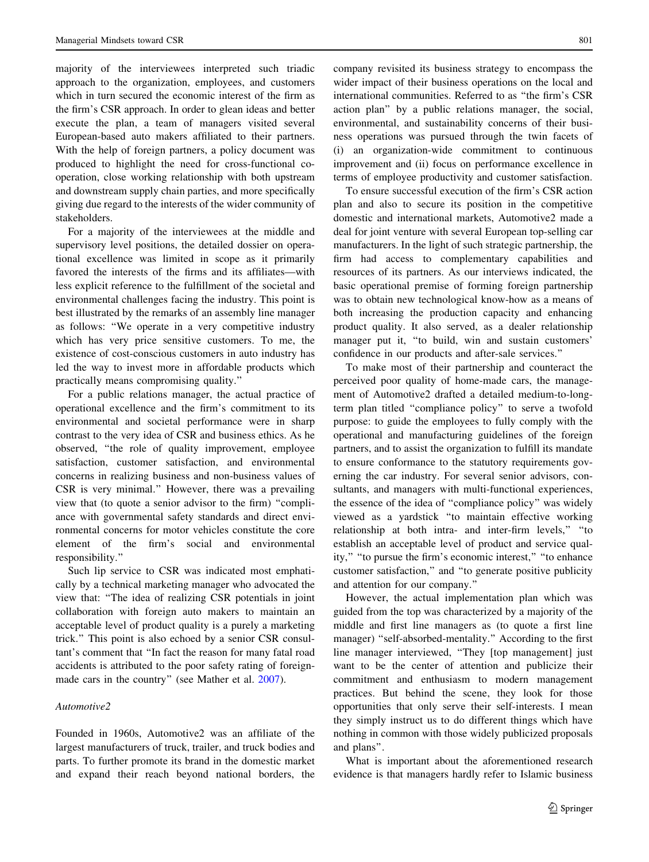majority of the interviewees interpreted such triadic approach to the organization, employees, and customers which in turn secured the economic interest of the firm as the firm's CSR approach. In order to glean ideas and better execute the plan, a team of managers visited several European-based auto makers affiliated to their partners. With the help of foreign partners, a policy document was produced to highlight the need for cross-functional cooperation, close working relationship with both upstream and downstream supply chain parties, and more specifically giving due regard to the interests of the wider community of stakeholders.

For a majority of the interviewees at the middle and supervisory level positions, the detailed dossier on operational excellence was limited in scope as it primarily favored the interests of the firms and its affiliates—with less explicit reference to the fulfillment of the societal and environmental challenges facing the industry. This point is best illustrated by the remarks of an assembly line manager as follows: ''We operate in a very competitive industry which has very price sensitive customers. To me, the existence of cost-conscious customers in auto industry has led the way to invest more in affordable products which practically means compromising quality.''

For a public relations manager, the actual practice of operational excellence and the firm's commitment to its environmental and societal performance were in sharp contrast to the very idea of CSR and business ethics. As he observed, ''the role of quality improvement, employee satisfaction, customer satisfaction, and environmental concerns in realizing business and non-business values of CSR is very minimal.'' However, there was a prevailing view that (to quote a senior advisor to the firm) ''compliance with governmental safety standards and direct environmental concerns for motor vehicles constitute the core element of the firm's social and environmental responsibility.''

Such lip service to CSR was indicated most emphatically by a technical marketing manager who advocated the view that: ''The idea of realizing CSR potentials in joint collaboration with foreign auto makers to maintain an acceptable level of product quality is a purely a marketing trick.'' This point is also echoed by a senior CSR consultant's comment that ''In fact the reason for many fatal road accidents is attributed to the poor safety rating of foreignmade cars in the country'' (see Mather et al. 2007).

#### Automotive2

Founded in 1960s, Automotive2 was an affiliate of the largest manufacturers of truck, trailer, and truck bodies and parts. To further promote its brand in the domestic market and expand their reach beyond national borders, the company revisited its business strategy to encompass the wider impact of their business operations on the local and international communities. Referred to as ''the firm's CSR action plan'' by a public relations manager, the social, environmental, and sustainability concerns of their business operations was pursued through the twin facets of (i) an organization-wide commitment to continuous improvement and (ii) focus on performance excellence in terms of employee productivity and customer satisfaction.

To ensure successful execution of the firm's CSR action plan and also to secure its position in the competitive domestic and international markets, Automotive2 made a deal for joint venture with several European top-selling car manufacturers. In the light of such strategic partnership, the firm had access to complementary capabilities and resources of its partners. As our interviews indicated, the basic operational premise of forming foreign partnership was to obtain new technological know-how as a means of both increasing the production capacity and enhancing product quality. It also served, as a dealer relationship manager put it, "to build, win and sustain customers' confidence in our products and after-sale services.''

To make most of their partnership and counteract the perceived poor quality of home-made cars, the management of Automotive2 drafted a detailed medium-to-longterm plan titled ''compliance policy'' to serve a twofold purpose: to guide the employees to fully comply with the operational and manufacturing guidelines of the foreign partners, and to assist the organization to fulfill its mandate to ensure conformance to the statutory requirements governing the car industry. For several senior advisors, consultants, and managers with multi-functional experiences, the essence of the idea of ''compliance policy'' was widely viewed as a yardstick ''to maintain effective working relationship at both intra- and inter-firm levels,'' ''to establish an acceptable level of product and service quality,'' ''to pursue the firm's economic interest,'' ''to enhance customer satisfaction,'' and ''to generate positive publicity and attention for our company.''

However, the actual implementation plan which was guided from the top was characterized by a majority of the middle and first line managers as (to quote a first line manager) ''self-absorbed-mentality.'' According to the first line manager interviewed, ''They [top management] just want to be the center of attention and publicize their commitment and enthusiasm to modern management practices. But behind the scene, they look for those opportunities that only serve their self-interests. I mean they simply instruct us to do different things which have nothing in common with those widely publicized proposals and plans''.

What is important about the aforementioned research evidence is that managers hardly refer to Islamic business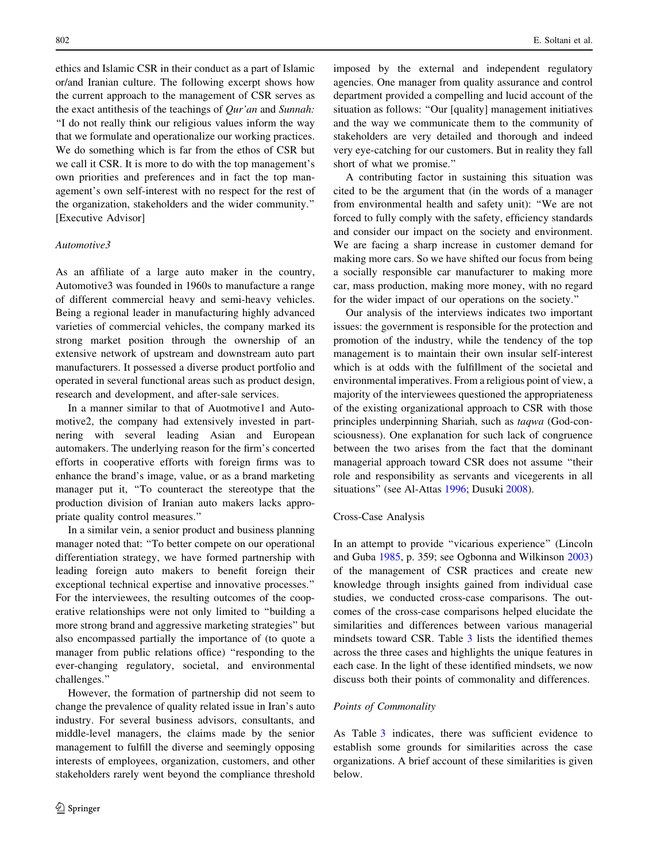ethics and Islamic CSR in their conduct as a part of Islamic or/and Iranian culture. The following excerpt shows how the current approach to the management of CSR serves as the exact antithesis of the teachings of  $Qur'$ an and Sunnah: ''I do not really think our religious values inform the way that we formulate and operationalize our working practices. We do something which is far from the ethos of CSR but we call it CSR. It is more to do with the top management's own priorities and preferences and in fact the top management's own self-interest with no respect for the rest of the organization, stakeholders and the wider community.'' [Executive Advisor]

#### Automotive3

As an affiliate of a large auto maker in the country, Automotive3 was founded in 1960s to manufacture a range of different commercial heavy and semi-heavy vehicles. Being a regional leader in manufacturing highly advanced varieties of commercial vehicles, the company marked its strong market position through the ownership of an extensive network of upstream and downstream auto part manufacturers. It possessed a diverse product portfolio and operated in several functional areas such as product design, research and development, and after-sale services.

In a manner similar to that of Auotmotive1 and Automotive2, the company had extensively invested in partnering with several leading Asian and European automakers. The underlying reason for the firm's concerted efforts in cooperative efforts with foreign firms was to enhance the brand's image, value, or as a brand marketing manager put it, ''To counteract the stereotype that the production division of Iranian auto makers lacks appropriate quality control measures.''

In a similar vein, a senior product and business planning manager noted that: ''To better compete on our operational differentiation strategy, we have formed partnership with leading foreign auto makers to benefit foreign their exceptional technical expertise and innovative processes.'' For the interviewees, the resulting outcomes of the cooperative relationships were not only limited to ''building a more strong brand and aggressive marketing strategies'' but also encompassed partially the importance of (to quote a manager from public relations office) ''responding to the ever-changing regulatory, societal, and environmental challenges.''

However, the formation of partnership did not seem to change the prevalence of quality related issue in Iran's auto industry. For several business advisors, consultants, and middle-level managers, the claims made by the senior management to fulfill the diverse and seemingly opposing interests of employees, organization, customers, and other stakeholders rarely went beyond the compliance threshold imposed by the external and independent regulatory agencies. One manager from quality assurance and control department provided a compelling and lucid account of the situation as follows: "Our [quality] management initiatives and the way we communicate them to the community of stakeholders are very detailed and thorough and indeed very eye-catching for our customers. But in reality they fall short of what we promise.''

A contributing factor in sustaining this situation was cited to be the argument that (in the words of a manager from environmental health and safety unit): ''We are not forced to fully comply with the safety, efficiency standards and consider our impact on the society and environment. We are facing a sharp increase in customer demand for making more cars. So we have shifted our focus from being a socially responsible car manufacturer to making more car, mass production, making more money, with no regard for the wider impact of our operations on the society.''

Our analysis of the interviews indicates two important issues: the government is responsible for the protection and promotion of the industry, while the tendency of the top management is to maintain their own insular self-interest which is at odds with the fulfillment of the societal and environmental imperatives. From a religious point of view, a majority of the interviewees questioned the appropriateness of the existing organizational approach to CSR with those principles underpinning Shariah, such as taqwa (God-consciousness). One explanation for such lack of congruence between the two arises from the fact that the dominant managerial approach toward CSR does not assume ''their role and responsibility as servants and vicegerents in all situations'' (see Al-Attas 1996; Dusuki 2008).

#### Cross-Case Analysis

In an attempt to provide ''vicarious experience'' (Lincoln and Guba 1985, p. 359; see Ogbonna and Wilkinson 2003) of the management of CSR practices and create new knowledge through insights gained from individual case studies, we conducted cross-case comparisons. The outcomes of the cross-case comparisons helped elucidate the similarities and differences between various managerial mindsets toward CSR. Table 3 lists the identified themes across the three cases and highlights the unique features in each case. In the light of these identified mindsets, we now discuss both their points of commonality and differences.

#### Points of Commonality

As Table 3 indicates, there was sufficient evidence to establish some grounds for similarities across the case organizations. A brief account of these similarities is given below.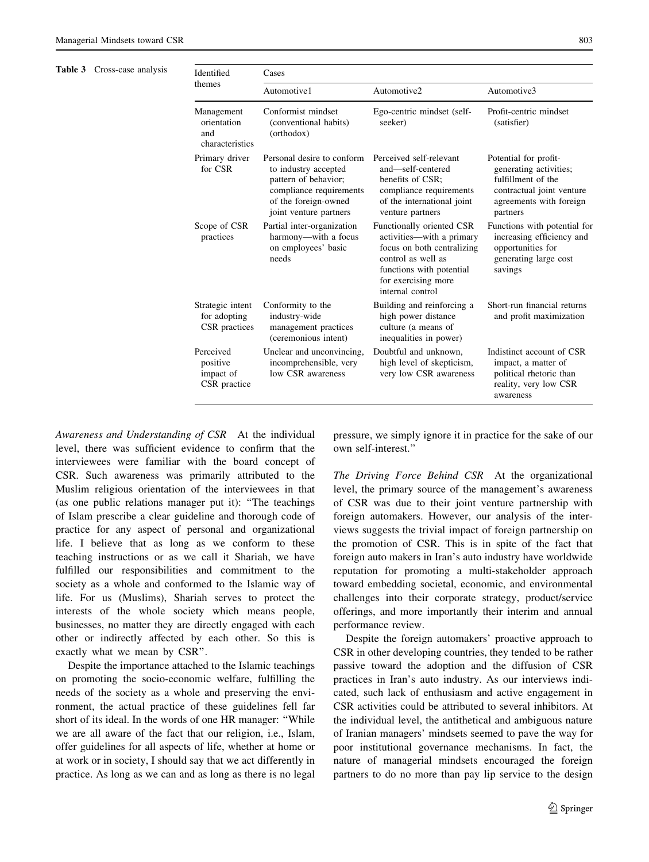Table 3 Cross-case analysis

| Identified<br>themes                                | Cases                                                                                                                                                   |                                                                                                                                                                                   |                                                                                                                                           |  |  |
|-----------------------------------------------------|---------------------------------------------------------------------------------------------------------------------------------------------------------|-----------------------------------------------------------------------------------------------------------------------------------------------------------------------------------|-------------------------------------------------------------------------------------------------------------------------------------------|--|--|
|                                                     | Automotive1                                                                                                                                             | Automotive2                                                                                                                                                                       | Automotive3                                                                                                                               |  |  |
| Management<br>orientation<br>and<br>characteristics | Conformist mindset<br>(conventional habits)<br>(orthodox)                                                                                               | Ego-centric mindset (self-<br>seeker)                                                                                                                                             | Profit-centric mindset<br>(satisfier)                                                                                                     |  |  |
| Primary driver<br>for CSR                           | Personal desire to conform<br>to industry accepted<br>pattern of behavior;<br>compliance requirements<br>of the foreign-owned<br>joint venture partners | Perceived self-relevant<br>and-self-centered<br>benefits of CSR:<br>compliance requirements<br>of the international joint<br>venture partners                                     | Potential for profit-<br>generating activities;<br>fulfillment of the<br>contractual joint venture<br>agreements with foreign<br>partners |  |  |
| Scope of CSR<br>practices                           | Partial inter-organization<br>harmony-with a focus<br>on employees' basic<br>needs                                                                      | Functionally oriented CSR<br>activities—with a primary<br>focus on both centralizing<br>control as well as<br>functions with potential<br>for exercising more<br>internal control | Functions with potential for<br>increasing efficiency and<br>opportunities for<br>generating large cost<br>savings                        |  |  |
| Strategic intent<br>for adopting<br>CSR practices   | Conformity to the<br>industry-wide<br>management practices<br>(ceremonious intent)                                                                      | Building and reinforcing a<br>high power distance<br>culture (a means of<br>inequalities in power)                                                                                | Short-run financial returns<br>and profit maximization                                                                                    |  |  |
| Perceived<br>positive<br>impact of<br>CSR practice  | Unclear and unconvincing,<br>incomprehensible, very<br>low CSR awareness                                                                                | Doubtful and unknown,<br>high level of skepticism,<br>very low CSR awareness                                                                                                      | Indistinct account of CSR<br>impact, a matter of<br>political rhetoric than<br>reality, very low CSR<br>awareness                         |  |  |

Awareness and Understanding of CSR At the individual level, there was sufficient evidence to confirm that the interviewees were familiar with the board concept of CSR. Such awareness was primarily attributed to the Muslim religious orientation of the interviewees in that (as one public relations manager put it): ''The teachings of Islam prescribe a clear guideline and thorough code of practice for any aspect of personal and organizational life. I believe that as long as we conform to these teaching instructions or as we call it Shariah, we have fulfilled our responsibilities and commitment to the society as a whole and conformed to the Islamic way of life. For us (Muslims), Shariah serves to protect the interests of the whole society which means people, businesses, no matter they are directly engaged with each other or indirectly affected by each other. So this is exactly what we mean by CSR''.

Despite the importance attached to the Islamic teachings on promoting the socio-economic welfare, fulfilling the needs of the society as a whole and preserving the environment, the actual practice of these guidelines fell far short of its ideal. In the words of one HR manager: ''While we are all aware of the fact that our religion, i.e., Islam, offer guidelines for all aspects of life, whether at home or at work or in society, I should say that we act differently in practice. As long as we can and as long as there is no legal

pressure, we simply ignore it in practice for the sake of our own self-interest.''

The Driving Force Behind CSR At the organizational level, the primary source of the management's awareness of CSR was due to their joint venture partnership with foreign automakers. However, our analysis of the interviews suggests the trivial impact of foreign partnership on the promotion of CSR. This is in spite of the fact that foreign auto makers in Iran's auto industry have worldwide reputation for promoting a multi-stakeholder approach toward embedding societal, economic, and environmental challenges into their corporate strategy, product/service offerings, and more importantly their interim and annual performance review.

Despite the foreign automakers' proactive approach to CSR in other developing countries, they tended to be rather passive toward the adoption and the diffusion of CSR practices in Iran's auto industry. As our interviews indicated, such lack of enthusiasm and active engagement in CSR activities could be attributed to several inhibitors. At the individual level, the antithetical and ambiguous nature of Iranian managers' mindsets seemed to pave the way for poor institutional governance mechanisms. In fact, the nature of managerial mindsets encouraged the foreign partners to do no more than pay lip service to the design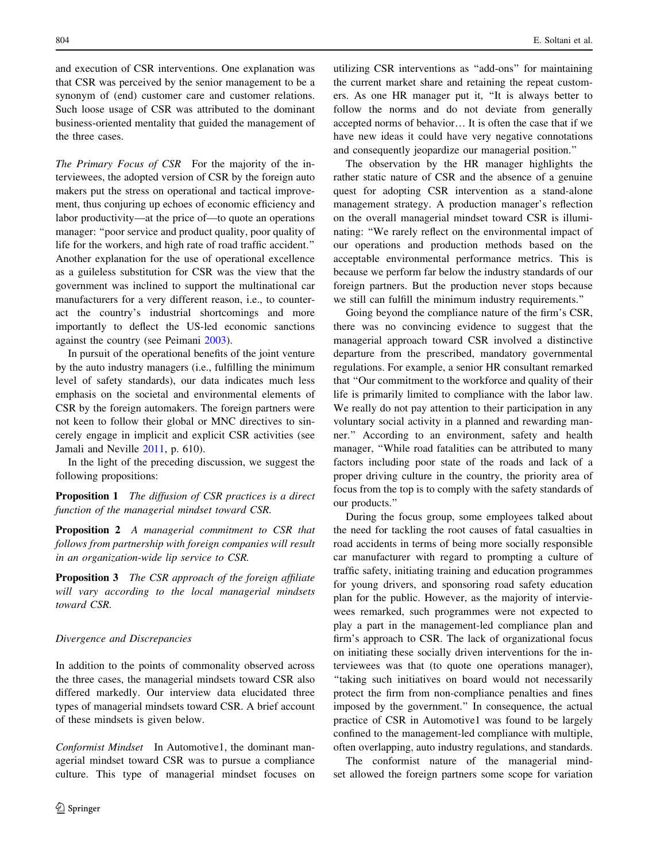and execution of CSR interventions. One explanation was that CSR was perceived by the senior management to be a synonym of (end) customer care and customer relations. Such loose usage of CSR was attributed to the dominant business-oriented mentality that guided the management of the three cases.

The Primary Focus of CSR For the majority of the interviewees, the adopted version of CSR by the foreign auto makers put the stress on operational and tactical improvement, thus conjuring up echoes of economic efficiency and labor productivity—at the price of—to quote an operations manager: ''poor service and product quality, poor quality of life for the workers, and high rate of road traffic accident.'' Another explanation for the use of operational excellence as a guileless substitution for CSR was the view that the government was inclined to support the multinational car manufacturers for a very different reason, i.e., to counteract the country's industrial shortcomings and more importantly to deflect the US-led economic sanctions against the country (see Peimani 2003).

In pursuit of the operational benefits of the joint venture by the auto industry managers (i.e., fulfilling the minimum level of safety standards), our data indicates much less emphasis on the societal and environmental elements of CSR by the foreign automakers. The foreign partners were not keen to follow their global or MNC directives to sincerely engage in implicit and explicit CSR activities (see Jamali and Neville 2011, p. 610).

In the light of the preceding discussion, we suggest the following propositions:

**Proposition 1** The diffusion of CSR practices is a direct function of the managerial mindset toward CSR.

Proposition 2 A managerial commitment to CSR that follows from partnership with foreign companies will result in an organization-wide lip service to CSR.

Proposition 3 The CSR approach of the foreign affiliate will vary according to the local managerial mindsets toward CSR.

#### Divergence and Discrepancies

In addition to the points of commonality observed across the three cases, the managerial mindsets toward CSR also differed markedly. Our interview data elucidated three types of managerial mindsets toward CSR. A brief account of these mindsets is given below.

Conformist Mindset In Automotive1, the dominant managerial mindset toward CSR was to pursue a compliance culture. This type of managerial mindset focuses on utilizing CSR interventions as ''add-ons'' for maintaining the current market share and retaining the repeat customers. As one HR manager put it, ''It is always better to follow the norms and do not deviate from generally accepted norms of behavior… It is often the case that if we have new ideas it could have very negative connotations and consequently jeopardize our managerial position.''

The observation by the HR manager highlights the rather static nature of CSR and the absence of a genuine quest for adopting CSR intervention as a stand-alone management strategy. A production manager's reflection on the overall managerial mindset toward CSR is illuminating: ''We rarely reflect on the environmental impact of our operations and production methods based on the acceptable environmental performance metrics. This is because we perform far below the industry standards of our foreign partners. But the production never stops because we still can fulfill the minimum industry requirements.''

Going beyond the compliance nature of the firm's CSR, there was no convincing evidence to suggest that the managerial approach toward CSR involved a distinctive departure from the prescribed, mandatory governmental regulations. For example, a senior HR consultant remarked that ''Our commitment to the workforce and quality of their life is primarily limited to compliance with the labor law. We really do not pay attention to their participation in any voluntary social activity in a planned and rewarding manner.'' According to an environment, safety and health manager, ''While road fatalities can be attributed to many factors including poor state of the roads and lack of a proper driving culture in the country, the priority area of focus from the top is to comply with the safety standards of our products.''

During the focus group, some employees talked about the need for tackling the root causes of fatal casualties in road accidents in terms of being more socially responsible car manufacturer with regard to prompting a culture of traffic safety, initiating training and education programmes for young drivers, and sponsoring road safety education plan for the public. However, as the majority of interviewees remarked, such programmes were not expected to play a part in the management-led compliance plan and firm's approach to CSR. The lack of organizational focus on initiating these socially driven interventions for the interviewees was that (to quote one operations manager), ''taking such initiatives on board would not necessarily protect the firm from non-compliance penalties and fines imposed by the government.'' In consequence, the actual practice of CSR in Automotive1 was found to be largely confined to the management-led compliance with multiple, often overlapping, auto industry regulations, and standards.

The conformist nature of the managerial mindset allowed the foreign partners some scope for variation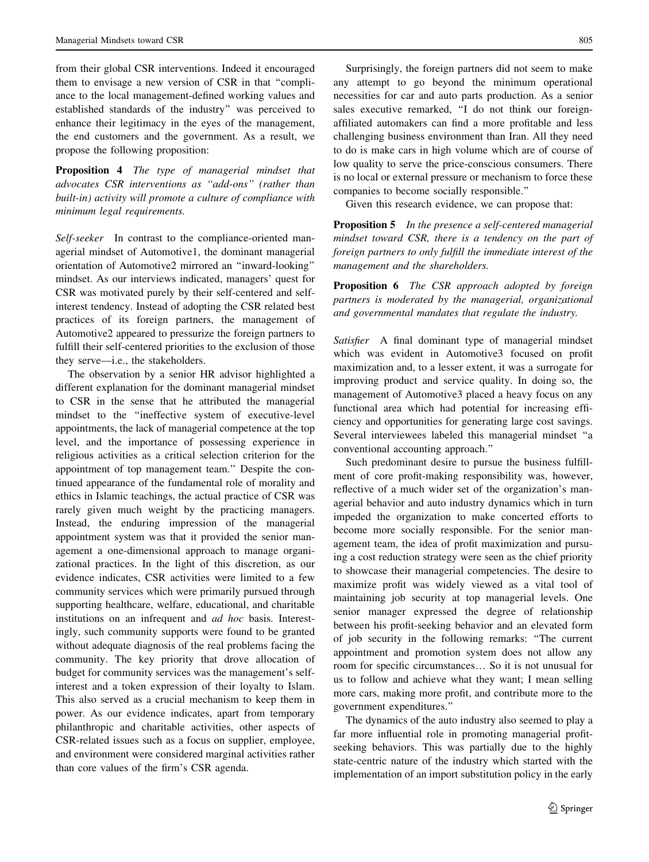from their global CSR interventions. Indeed it encouraged them to envisage a new version of CSR in that ''compliance to the local management-defined working values and established standards of the industry'' was perceived to enhance their legitimacy in the eyes of the management, the end customers and the government. As a result, we propose the following proposition:

Proposition 4 The type of managerial mindset that advocates CSR interventions as ''add-ons'' (rather than built-in) activity will promote a culture of compliance with minimum legal requirements.

Self-seeker In contrast to the compliance-oriented managerial mindset of Automotive1, the dominant managerial orientation of Automotive2 mirrored an ''inward-looking'' mindset. As our interviews indicated, managers' quest for CSR was motivated purely by their self-centered and selfinterest tendency. Instead of adopting the CSR related best practices of its foreign partners, the management of Automotive2 appeared to pressurize the foreign partners to fulfill their self-centered priorities to the exclusion of those they serve—i.e., the stakeholders.

The observation by a senior HR advisor highlighted a different explanation for the dominant managerial mindset to CSR in the sense that he attributed the managerial mindset to the ''ineffective system of executive-level appointments, the lack of managerial competence at the top level, and the importance of possessing experience in religious activities as a critical selection criterion for the appointment of top management team.'' Despite the continued appearance of the fundamental role of morality and ethics in Islamic teachings, the actual practice of CSR was rarely given much weight by the practicing managers. Instead, the enduring impression of the managerial appointment system was that it provided the senior management a one-dimensional approach to manage organizational practices. In the light of this discretion, as our evidence indicates, CSR activities were limited to a few community services which were primarily pursued through supporting healthcare, welfare, educational, and charitable institutions on an infrequent and ad hoc basis. Interestingly, such community supports were found to be granted without adequate diagnosis of the real problems facing the community. The key priority that drove allocation of budget for community services was the management's selfinterest and a token expression of their loyalty to Islam. This also served as a crucial mechanism to keep them in power. As our evidence indicates, apart from temporary philanthropic and charitable activities, other aspects of CSR-related issues such as a focus on supplier, employee, and environment were considered marginal activities rather than core values of the firm's CSR agenda.

Surprisingly, the foreign partners did not seem to make any attempt to go beyond the minimum operational necessities for car and auto parts production. As a senior sales executive remarked, ''I do not think our foreignaffiliated automakers can find a more profitable and less challenging business environment than Iran. All they need to do is make cars in high volume which are of course of low quality to serve the price-conscious consumers. There is no local or external pressure or mechanism to force these companies to become socially responsible.''

Given this research evidence, we can propose that:

Proposition 5 In the presence a self-centered managerial mindset toward CSR, there is a tendency on the part of foreign partners to only fulfill the immediate interest of the management and the shareholders.

Proposition 6 The CSR approach adopted by foreign partners is moderated by the managerial, organizational and governmental mandates that regulate the industry.

Satisfier A final dominant type of managerial mindset which was evident in Automotive3 focused on profit maximization and, to a lesser extent, it was a surrogate for improving product and service quality. In doing so, the management of Automotive3 placed a heavy focus on any functional area which had potential for increasing efficiency and opportunities for generating large cost savings. Several interviewees labeled this managerial mindset ''a conventional accounting approach.''

Such predominant desire to pursue the business fulfillment of core profit-making responsibility was, however, reflective of a much wider set of the organization's managerial behavior and auto industry dynamics which in turn impeded the organization to make concerted efforts to become more socially responsible. For the senior management team, the idea of profit maximization and pursuing a cost reduction strategy were seen as the chief priority to showcase their managerial competencies. The desire to maximize profit was widely viewed as a vital tool of maintaining job security at top managerial levels. One senior manager expressed the degree of relationship between his profit-seeking behavior and an elevated form of job security in the following remarks: ''The current appointment and promotion system does not allow any room for specific circumstances… So it is not unusual for us to follow and achieve what they want; I mean selling more cars, making more profit, and contribute more to the government expenditures.''

The dynamics of the auto industry also seemed to play a far more influential role in promoting managerial profitseeking behaviors. This was partially due to the highly state-centric nature of the industry which started with the implementation of an import substitution policy in the early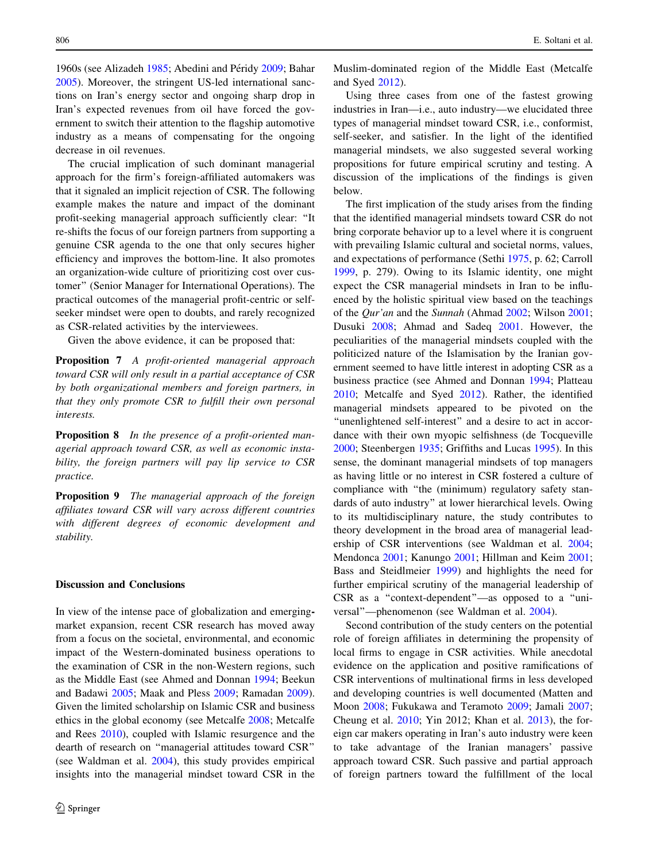1960s (see Alizadeh 1985; Abedini and Péridy 2009; Bahar 2005). Moreover, the stringent US-led international sanctions on Iran's energy sector and ongoing sharp drop in Iran's expected revenues from oil have forced the government to switch their attention to the flagship automotive industry as a means of compensating for the ongoing decrease in oil revenues.

The crucial implication of such dominant managerial approach for the firm's foreign-affiliated automakers was that it signaled an implicit rejection of CSR. The following example makes the nature and impact of the dominant profit-seeking managerial approach sufficiently clear: ''It re-shifts the focus of our foreign partners from supporting a genuine CSR agenda to the one that only secures higher efficiency and improves the bottom-line. It also promotes an organization-wide culture of prioritizing cost over customer'' (Senior Manager for International Operations). The practical outcomes of the managerial profit-centric or selfseeker mindset were open to doubts, and rarely recognized as CSR-related activities by the interviewees.

Given the above evidence, it can be proposed that:

Proposition 7 A profit-oriented managerial approach toward CSR will only result in a partial acceptance of CSR by both organizational members and foreign partners, in that they only promote CSR to fulfill their own personal interests.

**Proposition 8** In the presence of a profit-oriented managerial approach toward CSR, as well as economic instability, the foreign partners will pay lip service to CSR practice.

**Proposition 9** The managerial approach of the foreign affiliates toward CSR will vary across different countries with different degrees of economic development and stability.

#### Discussion and Conclusions

In view of the intense pace of globalization and emergingmarket expansion, recent CSR research has moved away from a focus on the societal, environmental, and economic impact of the Western-dominated business operations to the examination of CSR in the non-Western regions, such as the Middle East (see Ahmed and Donnan 1994; Beekun and Badawi 2005; Maak and Pless 2009; Ramadan 2009). Given the limited scholarship on Islamic CSR and business ethics in the global economy (see Metcalfe 2008; Metcalfe and Rees 2010), coupled with Islamic resurgence and the dearth of research on ''managerial attitudes toward CSR'' (see Waldman et al. 2004), this study provides empirical insights into the managerial mindset toward CSR in the Muslim-dominated region of the Middle East (Metcalfe and Syed 2012).

Using three cases from one of the fastest growing industries in Iran—i.e., auto industry—we elucidated three types of managerial mindset toward CSR, i.e., conformist, self-seeker, and satisfier. In the light of the identified managerial mindsets, we also suggested several working propositions for future empirical scrutiny and testing. A discussion of the implications of the findings is given below.

The first implication of the study arises from the finding that the identified managerial mindsets toward CSR do not bring corporate behavior up to a level where it is congruent with prevailing Islamic cultural and societal norms, values, and expectations of performance (Sethi 1975, p. 62; Carroll 1999, p. 279). Owing to its Islamic identity, one might expect the CSR managerial mindsets in Iran to be influenced by the holistic spiritual view based on the teachings of the Qur'an and the Sunnah (Ahmad 2002; Wilson 2001; Dusuki 2008; Ahmad and Sadeq 2001. However, the peculiarities of the managerial mindsets coupled with the politicized nature of the Islamisation by the Iranian government seemed to have little interest in adopting CSR as a business practice (see Ahmed and Donnan 1994; Platteau 2010; Metcalfe and Syed 2012). Rather, the identified managerial mindsets appeared to be pivoted on the ''unenlightened self-interest'' and a desire to act in accordance with their own myopic selfishness (de Tocqueville 2000; Steenbergen 1935; Griffiths and Lucas 1995). In this sense, the dominant managerial mindsets of top managers as having little or no interest in CSR fostered a culture of compliance with ''the (minimum) regulatory safety standards of auto industry'' at lower hierarchical levels. Owing to its multidisciplinary nature, the study contributes to theory development in the broad area of managerial leadership of CSR interventions (see Waldman et al. 2004; Mendonca 2001; Kanungo 2001; Hillman and Keim 2001; Bass and Steidlmeier 1999) and highlights the need for further empirical scrutiny of the managerial leadership of CSR as a ''context-dependent''—as opposed to a ''universal''—phenomenon (see Waldman et al. 2004).

Second contribution of the study centers on the potential role of foreign affiliates in determining the propensity of local firms to engage in CSR activities. While anecdotal evidence on the application and positive ramifications of CSR interventions of multinational firms in less developed and developing countries is well documented (Matten and Moon 2008; Fukukawa and Teramoto 2009; Jamali 2007; Cheung et al. 2010; Yin 2012; Khan et al. 2013), the foreign car makers operating in Iran's auto industry were keen to take advantage of the Iranian managers' passive approach toward CSR. Such passive and partial approach of foreign partners toward the fulfillment of the local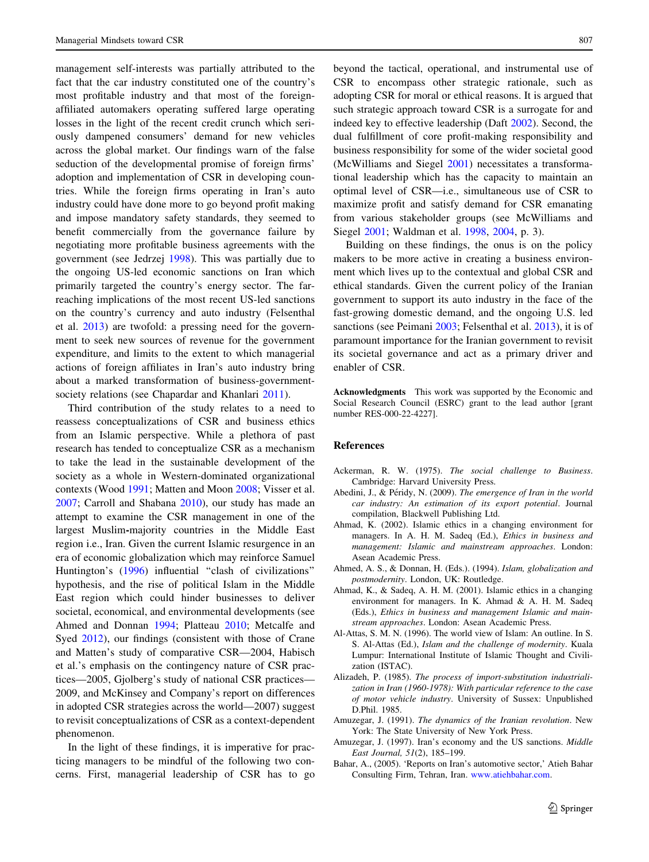management self-interests was partially attributed to the fact that the car industry constituted one of the country's most profitable industry and that most of the foreignaffiliated automakers operating suffered large operating losses in the light of the recent credit crunch which seriously dampened consumers' demand for new vehicles across the global market. Our findings warn of the false seduction of the developmental promise of foreign firms' adoption and implementation of CSR in developing countries. While the foreign firms operating in Iran's auto industry could have done more to go beyond profit making and impose mandatory safety standards, they seemed to benefit commercially from the governance failure by negotiating more profitable business agreements with the government (see Jedrzej 1998). This was partially due to the ongoing US-led economic sanctions on Iran which primarily targeted the country's energy sector. The farreaching implications of the most recent US-led sanctions on the country's currency and auto industry (Felsenthal et al. 2013) are twofold: a pressing need for the government to seek new sources of revenue for the government expenditure, and limits to the extent to which managerial actions of foreign affiliates in Iran's auto industry bring about a marked transformation of business-governmentsociety relations (see Chapardar and Khanlari 2011).

Third contribution of the study relates to a need to reassess conceptualizations of CSR and business ethics from an Islamic perspective. While a plethora of past research has tended to conceptualize CSR as a mechanism to take the lead in the sustainable development of the society as a whole in Western-dominated organizational contexts (Wood 1991; Matten and Moon 2008; Visser et al. 2007; Carroll and Shabana 2010), our study has made an attempt to examine the CSR management in one of the largest Muslim-majority countries in the Middle East region i.e., Iran. Given the current Islamic resurgence in an era of economic globalization which may reinforce Samuel Huntington's (1996) influential "clash of civilizations" hypothesis, and the rise of political Islam in the Middle East region which could hinder businesses to deliver societal, economical, and environmental developments (see Ahmed and Donnan 1994; Platteau 2010; Metcalfe and Syed 2012), our findings (consistent with those of Crane and Matten's study of comparative CSR—2004, Habisch et al.'s emphasis on the contingency nature of CSR practices—2005, Gjolberg's study of national CSR practices— 2009, and McKinsey and Company's report on differences in adopted CSR strategies across the world—2007) suggest to revisit conceptualizations of CSR as a context-dependent phenomenon.

In the light of these findings, it is imperative for practicing managers to be mindful of the following two concerns. First, managerial leadership of CSR has to go beyond the tactical, operational, and instrumental use of CSR to encompass other strategic rationale, such as adopting CSR for moral or ethical reasons. It is argued that such strategic approach toward CSR is a surrogate for and indeed key to effective leadership (Daft 2002). Second, the dual fulfillment of core profit-making responsibility and business responsibility for some of the wider societal good (McWilliams and Siegel 2001) necessitates a transformational leadership which has the capacity to maintain an optimal level of CSR—i.e., simultaneous use of CSR to maximize profit and satisfy demand for CSR emanating from various stakeholder groups (see McWilliams and Siegel 2001; Waldman et al. 1998, 2004, p. 3).

Building on these findings, the onus is on the policy makers to be more active in creating a business environment which lives up to the contextual and global CSR and ethical standards. Given the current policy of the Iranian government to support its auto industry in the face of the fast-growing domestic demand, and the ongoing U.S. led sanctions (see Peimani 2003; Felsenthal et al. 2013), it is of paramount importance for the Iranian government to revisit its societal governance and act as a primary driver and enabler of CSR.

Acknowledgments This work was supported by the Economic and Social Research Council (ESRC) grant to the lead author [grant number RES-000-22-4227].

#### References

- Ackerman, R. W. (1975). The social challenge to Business. Cambridge: Harvard University Press.
- Abedini, J., & Péridy, N. (2009). The emergence of Iran in the world car industry: An estimation of its export potential. Journal compilation, Blackwell Publishing Ltd.
- Ahmad, K. (2002). Islamic ethics in a changing environment for managers. In A. H. M. Sadeq (Ed.), Ethics in business and management: Islamic and mainstream approaches. London: Asean Academic Press.
- Ahmed, A. S., & Donnan, H. (Eds.). (1994). Islam, globalization and postmodernity. London, UK: Routledge.
- Ahmad, K., & Sadeq, A. H. M. (2001). Islamic ethics in a changing environment for managers. In K. Ahmad & A. H. M. Sadeq (Eds.), Ethics in business and management Islamic and mainstream approaches. London: Asean Academic Press.
- Al-Attas, S. M. N. (1996). The world view of Islam: An outline. In S. S. Al-Attas (Ed.), Islam and the challenge of modernity. Kuala Lumpur: International Institute of Islamic Thought and Civilization (ISTAC).
- Alizadeh, P. (1985). The process of import-substitution industrialization in Iran (1960-1978): With particular reference to the case of motor vehicle industry. University of Sussex: Unpublished D.Phil. 1985.
- Amuzegar, J. (1991). The dynamics of the Iranian revolution. New York: The State University of New York Press.
- Amuzegar, J. (1997). Iran's economy and the US sanctions. Middle East Journal, 51(2), 185–199.
- Bahar, A., (2005). 'Reports on Iran's automotive sector,' Atieh Bahar Consulting Firm, Tehran, Iran. [www.atiehbahar.com.](http://www.atiehbahar.com)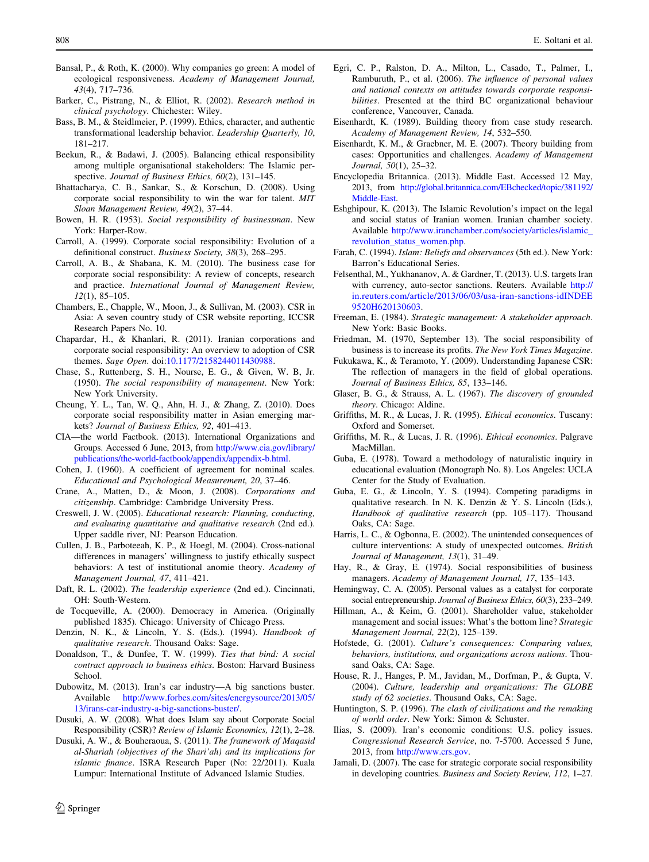- Bansal, P., & Roth, K. (2000). Why companies go green: A model of ecological responsiveness. Academy of Management Journal, 43(4), 717–736.
- Barker, C., Pistrang, N., & Elliot, R. (2002). Research method in clinical psychology. Chichester: Wiley.
- Bass, B. M., & Steidlmeier, P. (1999). Ethics, character, and authentic transformational leadership behavior. Leadership Quarterly, 10, 181–217.
- Beekun, R., & Badawi, J. (2005). Balancing ethical responsibility among multiple organisational stakeholders: The Islamic perspective. Journal of Business Ethics, 60(2), 131-145.
- Bhattacharya, C. B., Sankar, S., & Korschun, D. (2008). Using corporate social responsibility to win the war for talent. MIT Sloan Management Review, 49(2), 37–44.
- Bowen, H. R. (1953). Social responsibility of businessman. New York: Harper-Row.
- Carroll, A. (1999). Corporate social responsibility: Evolution of a definitional construct. Business Society, 38(3), 268–295.
- Carroll, A. B., & Shabana, K. M. (2010). The business case for corporate social responsibility: A review of concepts, research and practice. International Journal of Management Review, 12(1), 85–105.
- Chambers, E., Chapple, W., Moon, J., & Sullivan, M. (2003). CSR in Asia: A seven country study of CSR website reporting, ICCSR Research Papers No. 10.
- Chapardar, H., & Khanlari, R. (2011). Iranian corporations and corporate social responsibility: An overview to adoption of CSR themes. Sage Open. doi:[10.1177/2158244011430988.](http://dx.doi.org/10.1177/2158244011430988)
- Chase, S., Ruttenberg, S. H., Nourse, E. G., & Given, W. B, Jr. (1950). The social responsibility of management. New York: New York University.
- Cheung, Y. L., Tan, W. Q., Ahn, H. J., & Zhang, Z. (2010). Does corporate social responsibility matter in Asian emerging markets? Journal of Business Ethics, 92, 401–413.
- CIA—the world Factbook. (2013). International Organizations and Groups. Accessed 6 June, 2013, from [http://www.cia.gov/library/](http://www.cia.gov/library/publications/the-world-factbook/appendix/appendix-b.html) [publications/the-world-factbook/appendix/appendix-b.html.](http://www.cia.gov/library/publications/the-world-factbook/appendix/appendix-b.html)
- Cohen, J. (1960). A coefficient of agreement for nominal scales. Educational and Psychological Measurement, 20, 37–46.
- Crane, A., Matten, D., & Moon, J. (2008). Corporations and citizenship. Cambridge: Cambridge University Press.
- Creswell, J. W. (2005). Educational research: Planning, conducting, and evaluating quantitative and qualitative research (2nd ed.). Upper saddle river, NJ: Pearson Education.
- Cullen, J. B., Parboteeah, K. P., & Hoegl, M. (2004). Cross-national differences in managers' willingness to justify ethically suspect behaviors: A test of institutional anomie theory. Academy of Management Journal, 47, 411–421.
- Daft, R. L. (2002). The leadership experience (2nd ed.). Cincinnati, OH: South-Western.
- de Tocqueville, A. (2000). Democracy in America. (Originally published 1835). Chicago: University of Chicago Press.
- Denzin, N. K., & Lincoln, Y. S. (Eds.). (1994). Handbook of qualitative research. Thousand Oaks: Sage.
- Donaldson, T., & Dunfee, T. W. (1999). Ties that bind: A social contract approach to business ethics. Boston: Harvard Business School.
- Dubowitz, M. (2013). Iran's car industry—A big sanctions buster. Available [http://www.forbes.com/sites/energysource/2013/05/](http://www.forbes.com/sites/energysource/2013/05/13/irans-car-industry-a-big-sanctions-buster/) [13/irans-car-industry-a-big-sanctions-buster/.](http://www.forbes.com/sites/energysource/2013/05/13/irans-car-industry-a-big-sanctions-buster/)
- Dusuki, A. W. (2008). What does Islam say about Corporate Social Responsibility (CSR)? Review of Islamic Economics, 12(1), 2–28.
- Dusuki, A. W., & Bouheraoua, S. (2011). The framework of Maqasid al-Shariah (objectives of the Shari'ah) and its implications for islamic finance. ISRA Research Paper (No: 22/2011). Kuala Lumpur: International Institute of Advanced Islamic Studies.
- Egri, C. P., Ralston, D. A., Milton, L., Casado, T., Palmer, I., Ramburuth, P., et al. (2006). The influence of personal values and national contexts on attitudes towards corporate responsibilities. Presented at the third BC organizational behaviour conference, Vancouver, Canada.
- Eisenhardt, K. (1989). Building theory from case study research. Academy of Management Review, 14, 532–550.
- Eisenhardt, K. M., & Graebner, M. E. (2007). Theory building from cases: Opportunities and challenges. Academy of Management Journal, 50(1), 25–32.
- Encyclopedia Britannica. (2013). Middle East. Accessed 12 May, 2013, from [http://global.britannica.com/EBchecked/topic/381192/](http://global.britannica.com/EBchecked/topic/381192/Middle-East) [Middle-East](http://global.britannica.com/EBchecked/topic/381192/Middle-East).
- Eshghipour, K. (2013). The Islamic Revolution's impact on the legal and social status of Iranian women. Iranian chamber society. Available [http://www.iranchamber.com/society/articles/islamic\\_](http://www.iranchamber.com/society/articles/islamic_revolution_status_women.php) [revolution\\_status\\_women.php.](http://www.iranchamber.com/society/articles/islamic_revolution_status_women.php)
- Farah, C. (1994). Islam: Beliefs and observances (5th ed.). New York: Barron's Educational Series.
- Felsenthal, M., Yukhananov, A. & Gardner, T. (2013). U.S. targets Iran with currency, auto-sector sanctions. Reuters. Available [http://](http://in.reuters.com/article/2013/06/03/usa-iran-sanctions-idINDEE9520H620130603) [in.reuters.com/article/2013/06/03/usa-iran-sanctions-idINDEE](http://in.reuters.com/article/2013/06/03/usa-iran-sanctions-idINDEE9520H620130603) [9520H620130603](http://in.reuters.com/article/2013/06/03/usa-iran-sanctions-idINDEE9520H620130603).
- Freeman, E. (1984). Strategic management: A stakeholder approach. New York: Basic Books.
- Friedman, M. (1970, September 13). The social responsibility of business is to increase its profits. The New York Times Magazine.
- Fukukawa, K., & Teramoto, Y. (2009). Understanding Japanese CSR: The reflection of managers in the field of global operations. Journal of Business Ethics, 85, 133–146.
- Glaser, B. G., & Strauss, A. L. (1967). The discovery of grounded theory. Chicago: Aldine.
- Griffiths, M. R., & Lucas, J. R. (1995). Ethical economics. Tuscany: Oxford and Somerset.
- Griffiths, M. R., & Lucas, J. R. (1996). Ethical economics. Palgrave MacMillan.
- Guba, E. (1978). Toward a methodology of naturalistic inquiry in educational evaluation (Monograph No. 8). Los Angeles: UCLA Center for the Study of Evaluation.
- Guba, E. G., & Lincoln, Y. S. (1994). Competing paradigms in qualitative research. In N. K. Denzin & Y. S. Lincoln (Eds.), Handbook of qualitative research (pp. 105–117). Thousand Oaks, CA: Sage.
- Harris, L. C., & Ogbonna, E. (2002). The unintended consequences of culture interventions: A study of unexpected outcomes. British Journal of Management, 13(1), 31–49.
- Hay, R., & Gray, E. (1974). Social responsibilities of business managers. Academy of Management Journal, 17, 135–143.
- Hemingway, C. A. (2005). Personal values as a catalyst for corporate social entrepreneurship. Journal of Business Ethics, 60(3), 233–249.
- Hillman, A., & Keim, G. (2001). Shareholder value, stakeholder management and social issues: What's the bottom line? Strategic Management Journal, 22(2), 125–139.
- Hofstede, G. (2001). Culture's consequences: Comparing values, behaviors, institutions, and organizations across nations. Thousand Oaks, CA: Sage.
- House, R. J., Hanges, P. M., Javidan, M., Dorfman, P., & Gupta, V. (2004). Culture, leadership and organizations: The GLOBE study of 62 societies. Thousand Oaks, CA: Sage.
- Huntington, S. P. (1996). The clash of civilizations and the remaking of world order. New York: Simon & Schuster.
- Ilias, S. (2009). Iran's economic conditions: U.S. policy issues. Congressional Research Service, no. 7-5700. Accessed 5 June, 2013, from [http://www.crs.gov.](http://www.crs.gov)
- Jamali, D. (2007). The case for strategic corporate social responsibility in developing countries. Business and Society Review, 112, 1–27.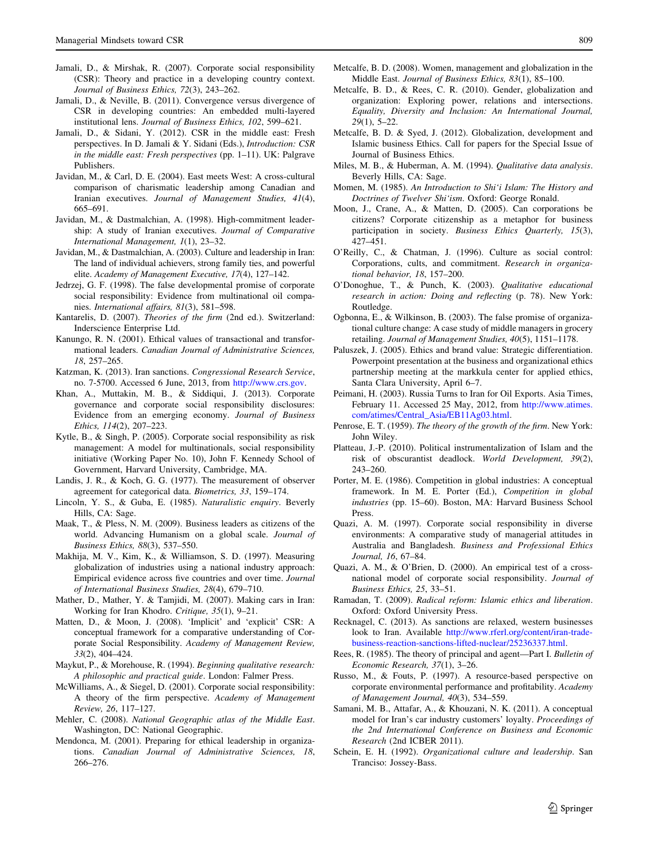- Jamali, D., & Mirshak, R. (2007). Corporate social responsibility (CSR): Theory and practice in a developing country context. Journal of Business Ethics, 72(3), 243–262.
- Jamali, D., & Neville, B. (2011). Convergence versus divergence of CSR in developing countries: An embedded multi-layered institutional lens. Journal of Business Ethics, 102, 599–621.
- Jamali, D., & Sidani, Y. (2012). CSR in the middle east: Fresh perspectives. In D. Jamali & Y. Sidani (Eds.), Introduction: CSR in the middle east: Fresh perspectives (pp. 1–11). UK: Palgrave Publishers.
- Javidan, M., & Carl, D. E. (2004). East meets West: A cross-cultural comparison of charismatic leadership among Canadian and Iranian executives. Journal of Management Studies, 41(4), 665–691.
- Javidan, M., & Dastmalchian, A. (1998). High-commitment leadership: A study of Iranian executives. Journal of Comparative International Management, 1(1), 23–32.
- Javidan, M., & Dastmalchian, A. (2003). Culture and leadership in Iran: The land of individual achievers, strong family ties, and powerful elite. Academy of Management Executive, 17(4), 127–142.
- Jedrzej, G. F. (1998). The false developmental promise of corporate social responsibility: Evidence from multinational oil companies. International affairs, 81(3), 581–598.
- Kantarelis, D. (2007). Theories of the firm (2nd ed.). Switzerland: Inderscience Enterprise Ltd.
- Kanungo, R. N. (2001). Ethical values of transactional and transformational leaders. Canadian Journal of Administrative Sciences, 18, 257–265.
- Katzman, K. (2013). Iran sanctions. Congressional Research Service, no. 7-5700. Accessed 6 June, 2013, from <http://www.crs.gov>.
- Khan, A., Muttakin, M. B., & Siddiqui, J. (2013). Corporate governance and corporate social responsibility disclosures: Evidence from an emerging economy. Journal of Business Ethics, 114(2), 207–223.
- Kytle, B., & Singh, P. (2005). Corporate social responsibility as risk management: A model for multinationals, social responsibility initiative (Working Paper No. 10), John F. Kennedy School of Government, Harvard University, Cambridge, MA.
- Landis, J. R., & Koch, G. G. (1977). The measurement of observer agreement for categorical data. Biometrics, 33, 159–174.
- Lincoln, Y. S., & Guba, E. (1985). Naturalistic enquiry. Beverly Hills, CA: Sage.
- Maak, T., & Pless, N. M. (2009). Business leaders as citizens of the world. Advancing Humanism on a global scale. Journal of Business Ethics, 88(3), 537–550.
- Makhija, M. V., Kim, K., & Williamson, S. D. (1997). Measuring globalization of industries using a national industry approach: Empirical evidence across five countries and over time. Journal of International Business Studies, 28(4), 679–710.
- Mather, D., Mather, Y. & Tamjidi, M. (2007). Making cars in Iran: Working for Iran Khodro. Critique, 35(1), 9–21.
- Matten, D., & Moon, J. (2008). 'Implicit' and 'explicit' CSR: A conceptual framework for a comparative understanding of Corporate Social Responsibility. Academy of Management Review, 33(2), 404–424.
- Maykut, P., & Morehouse, R. (1994). Beginning qualitative research: A philosophic and practical guide. London: Falmer Press.
- McWilliams, A., & Siegel, D. (2001). Corporate social responsibility: A theory of the firm perspective. Academy of Management Review, 26, 117–127.
- Mehler, C. (2008). National Geographic atlas of the Middle East. Washington, DC: National Geographic.
- Mendonca, M. (2001). Preparing for ethical leadership in organizations. Canadian Journal of Administrative Sciences, 18, 266–276.
- Metcalfe, B. D. (2008). Women, management and globalization in the Middle East. Journal of Business Ethics, 83(1), 85–100.
- Metcalfe, B. D., & Rees, C. R. (2010). Gender, globalization and organization: Exploring power, relations and intersections. Equality, Diversity and Inclusion: An International Journal, 29(1), 5–22.
- Metcalfe, B. D. & Syed, J. (2012). Globalization, development and Islamic business Ethics. Call for papers for the Special Issue of Journal of Business Ethics.
- Miles, M. B., & Huberman, A. M. (1994). Qualitative data analysis. Beverly Hills, CA: Sage.
- Momen, M. (1985). An Introduction to Shi'i Islam: The History and Doctrines of Twelver Shi'ism. Oxford: George Ronald.
- Moon, J., Crane, A., & Matten, D. (2005). Can corporations be citizens? Corporate citizenship as a metaphor for business participation in society. Business Ethics Quarterly, 15(3), 427–451.
- O'Reilly, C., & Chatman, J. (1996). Culture as social control: Corporations, cults, and commitment. Research in organizational behavior, 18, 157–200.
- O'Donoghue, T., & Punch, K. (2003). Qualitative educational research in action: Doing and reflecting (p. 78). New York: Routledge.
- Ogbonna, E., & Wilkinson, B. (2003). The false promise of organizational culture change: A case study of middle managers in grocery retailing. Journal of Management Studies, 40(5), 1151–1178.
- Paluszek, J. (2005). Ethics and brand value: Strategic differentiation. Powerpoint presentation at the business and organizational ethics partnership meeting at the markkula center for applied ethics, Santa Clara University, April 6–7.
- Peimani, H. (2003). Russia Turns to Iran for Oil Exports. Asia Times, February 11. Accessed 25 May, 2012, from [http://www.atimes.](http://www.atimes.com/atimes/Central_Asia/EB11Ag03.html) [com/atimes/Central\\_Asia/EB11Ag03.html.](http://www.atimes.com/atimes/Central_Asia/EB11Ag03.html)
- Penrose, E. T. (1959). The theory of the growth of the firm. New York: John Wiley.
- Platteau, J.-P. (2010). Political instrumentalization of Islam and the risk of obscurantist deadlock. World Development, 39(2), 243–260.
- Porter, M. E. (1986). Competition in global industries: A conceptual framework. In M. E. Porter (Ed.), Competition in global industries (pp. 15–60). Boston, MA: Harvard Business School Press.
- Quazi, A. M. (1997). Corporate social responsibility in diverse environments: A comparative study of managerial attitudes in Australia and Bangladesh. Business and Professional Ethics Journal, 16, 67–84.
- Quazi, A. M., & O'Brien, D. (2000). An empirical test of a crossnational model of corporate social responsibility. Journal of Business Ethics, 25, 33–51.
- Ramadan, T. (2009). Radical reform: Islamic ethics and liberation. Oxford: Oxford University Press.
- Recknagel, C. (2013). As sanctions are relaxed, western businesses look to Iran. Available [http://www.rferl.org/content/iran-trade](http://www.rferl.org/content/iran-trade-business-reaction-sanctions-lifted-nuclear/25236337.html)[business-reaction-sanctions-lifted-nuclear/25236337.html](http://www.rferl.org/content/iran-trade-business-reaction-sanctions-lifted-nuclear/25236337.html).
- Rees, R. (1985). The theory of principal and agent—Part I. Bulletin of Economic Research, 37(1), 3–26.
- Russo, M., & Fouts, P. (1997). A resource-based perspective on corporate environmental performance and profitability. Academy of Management Journal, 40(3), 534–559.
- Samani, M. B., Attafar, A., & Khouzani, N. K. (2011). A conceptual model for Iran's car industry customers' loyalty. Proceedings of the 2nd International Conference on Business and Economic Research (2nd ICBER 2011).
- Schein, E. H. (1992). Organizational culture and leadership. San Tranciso: Jossey-Bass.